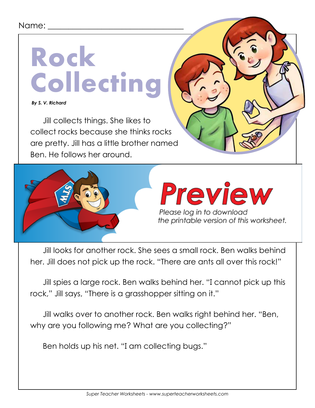## Name:

## **Rock Collecting**

 *By S. V. Richard*

Jill collects things. She likes to collect rocks because she thinks rocks are pretty. Jill has a little brother named Ben. He follows her around.



Jill looks for another rock. She sees a small rock. Ben walks behind her. Jill does not pick up the rock. "There are ants all over this rock!"

Jill spies a large rock. Ben walks behind her. "I cannot pick up this rock," Jill says, "There is a grasshopper sitting on it."

Jill walks over to another rock. Ben walks right behind her. "Ben, why are you following me? What are you collecting?"

Ben holds up his net. "I am collecting bugs."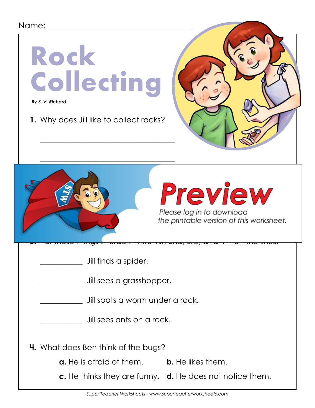